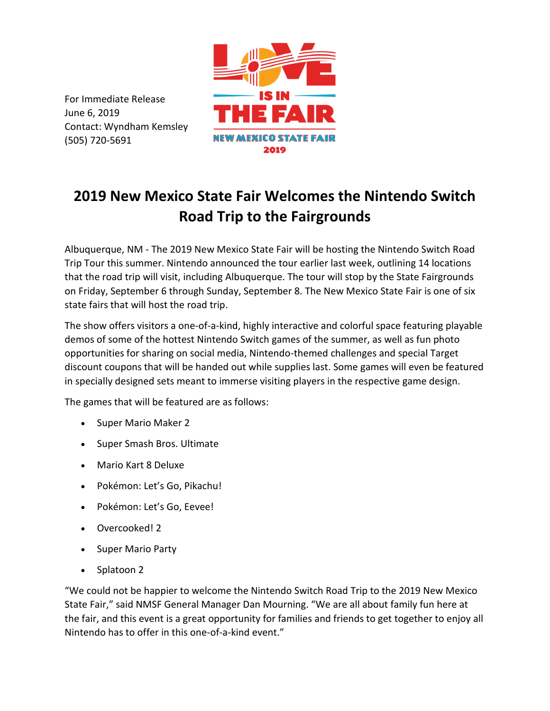For Immediate Release June 6, 2019 Contact: Wyndham Kemsley (505) 720-5691



## **2019 New Mexico State Fair Welcomes the Nintendo Switch Road Trip to the Fairgrounds**

Albuquerque, NM - The 2019 New Mexico State Fair will be hosting the Nintendo Switch Road Trip Tour this summer. Nintendo announced the tour earlier last week, outlining 14 locations that the road trip will visit, including Albuquerque. The tour will stop by the State Fairgrounds on Friday, September 6 through Sunday, September 8. The New Mexico State Fair is one of six state fairs that will host the road trip.

The show offers visitors a one-of-a-kind, highly interactive and colorful space featuring playable demos of some of the hottest Nintendo Switch games of the summer, as well as fun photo opportunities for sharing on social media, Nintendo-themed challenges and special Target discount coupons that will be handed out while supplies last. Some games will even be featured in specially designed sets meant to immerse visiting players in the respective game design.

The games that will be featured are as follows:

- Super Mario Maker 2
- Super Smash Bros. Ultimate
- Mario Kart 8 Deluxe
- Pokémon: Let's Go, Pikachu!
- Pokémon: Let's Go, Eevee!
- Overcooked! 2
- Super Mario Party
- Splatoon 2

"We could not be happier to welcome the Nintendo Switch Road Trip to the 2019 New Mexico State Fair," said NMSF General Manager Dan Mourning. "We are all about family fun here at the fair, and this event is a great opportunity for families and friends to get together to enjoy all Nintendo has to offer in this one-of-a-kind event."